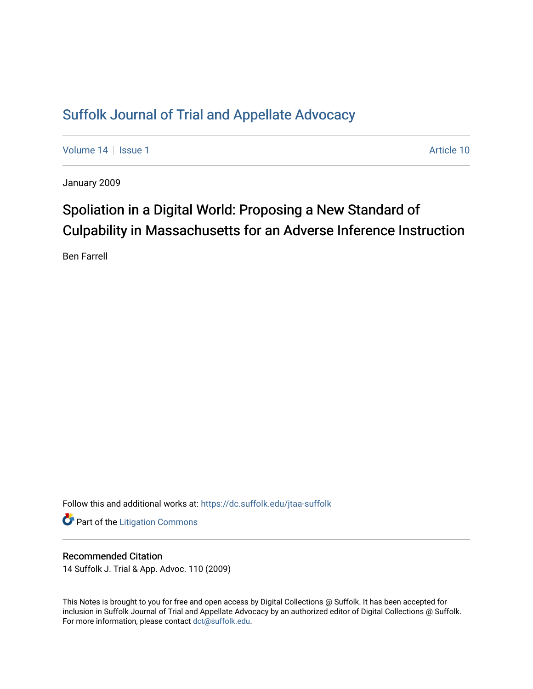## [Suffolk Journal of Trial and Appellate Advocacy](https://dc.suffolk.edu/jtaa-suffolk)

[Volume 14](https://dc.suffolk.edu/jtaa-suffolk/vol14) | [Issue 1](https://dc.suffolk.edu/jtaa-suffolk/vol14/iss1) Article 10

January 2009

# Spoliation in a Digital World: Proposing a New Standard of Culpability in Massachusetts for an Adverse Inference Instruction

Ben Farrell

Follow this and additional works at: [https://dc.suffolk.edu/jtaa-suffolk](https://dc.suffolk.edu/jtaa-suffolk?utm_source=dc.suffolk.edu%2Fjtaa-suffolk%2Fvol14%2Fiss1%2F10&utm_medium=PDF&utm_campaign=PDFCoverPages) 

**Part of the [Litigation Commons](http://network.bepress.com/hgg/discipline/910?utm_source=dc.suffolk.edu%2Fjtaa-suffolk%2Fvol14%2Fiss1%2F10&utm_medium=PDF&utm_campaign=PDFCoverPages)** 

#### Recommended Citation

14 Suffolk J. Trial & App. Advoc. 110 (2009)

This Notes is brought to you for free and open access by Digital Collections @ Suffolk. It has been accepted for inclusion in Suffolk Journal of Trial and Appellate Advocacy by an authorized editor of Digital Collections @ Suffolk. For more information, please contact [dct@suffolk.edu](mailto:dct@suffolk.edu).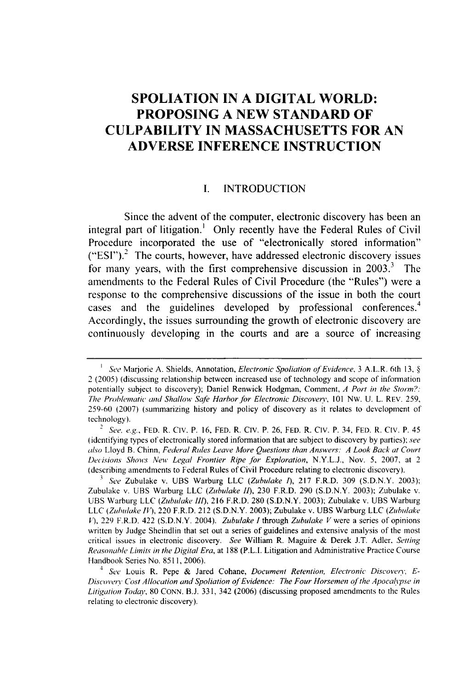### **SPOLIATION IN A DIGITAL WORLD: PROPOSING A NEW STANDARD OF CULPABILITY IN MASSACHUSETTS FOR AN ADVERSE INFERENCE INSTRUCTION**

#### **I. INTRODUCTION**

Since the advent of the computer, electronic discovery has been an integral part of litigation.' Only recently have the Federal Rules of Civil Procedure incorporated the use of "electronically stored information" **("ESI").2** The courts, however, have addressed electronic discovery issues for many years, with the first comprehensive discussion in 2003.<sup>3</sup> The amendments to the Federal Rules of Civil Procedure (the "Rules") were a response to the comprehensive discussions of the issue in both the court cases and the guidelines developed **by** professional conferences.<sup>4</sup> Accordingly, the issues surrounding the growth of electronic discovery are continuously developing in the courts and are a source of increasing

*I See* Marjorie **A.** Shields, Annotation, *Electronic Spoliation of Evidence,* **3** A.L.R. 6th **13,** § 2 **(2005)** (discussing relationship between increased use of technology and scope of information potentially subject to discovery); Daniel Renwick Hodgman, Comment, *A Port in the Storm?: The* Problematic *and* Shallow Safe *Harbor for Electronic Discoven',* **101** Nw. **U.** L. REV. **259, 259-60 (2007)** (summarizing history and policy of discovery as it relates to development of technology).

*<sup>2</sup> See. e.g.,* **FED.** R. Civ. P. **16, FED.** R. Civ. P. **26, FED.** R. Civ. P. 34, **FED.** R. Civ. P. 45 (identifying types of electronically stored information that are subject to discovery **by** parties); *see also* Lloyd B. Chinn, *Federal Rules Leave More Questions than Answers: A Look Back at Court Decisions Shows New Legal Frontier Ripe ]br Exploration,* N.Y.L.J., Nov. 5, **2007,** at 2 (describing amendments to Federal Rules of Civil Procedure relating to electronic discovery).

See Zubulake v. **LBS** Warburg **LLC** *(Zubulake 1),* **217** F.R.D. **309 (S.D.N.Y. 2003);** Zubulake v. **UBS** Warburg **LLC** *(Zubulake 11),* **230** F.R.D. **290 (S.D.N.Y. 2003);** Zubulake v. **UBS** Warburg **LLC** *(Zubulake 111),* **216** F.R.D. **280 (S.D.N.Y. 2003);** Zubulake v. **UBS** Warburg **LLC** *(Zubulake IV),* 220 F.R.D. 212 **(S.D.N.Y. 2003);** Zubulake v. **UBS** Warburg **LLC** *(Zubulake V),* **229** F.R.D. 422 **(S.D.N.Y.** 2004). *Zubulake I* through *Zubulake V* were a series of opinions written **by** Judge Sheindlin that set out a series of guidelines and extensive analysis of the most critical issues in electronic discovery. *See* William R. Maguire **&** Derek **J.T.** Adler. *Setting Reasonable Limits in the Digital Era,* at **188** (P.L.I. Litigation and Administrative Practice Course Handbook Series No. **8511, 2006).**

<sup>4</sup> *See* Louis R. Pepe **&** Jared Cohane, *Document Retention, Electronic Discover', E-Discovers3 Cost Allocation and Spoliation of Evidence: The Four Horsemen of the Apocalypse in* Litigation Toda', **80 CONN. B.J. 331,** 342 **(2006)** (discussing proposed amendments to the Rules relating to electronic discovery).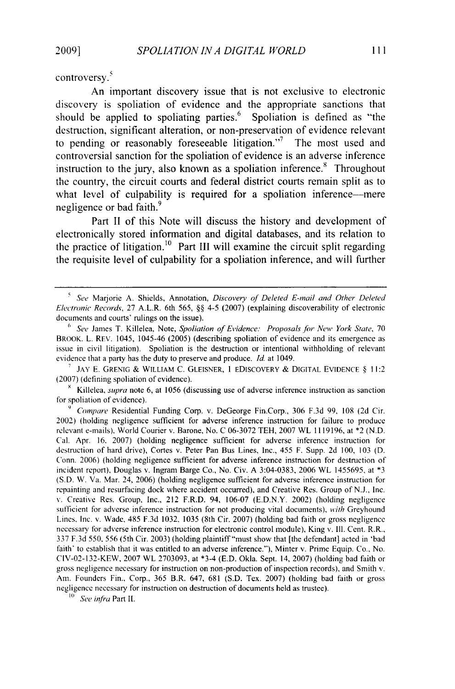controversy.<sup>5</sup>

An important discovery issue that is not exclusive to electronic discovery is spoliation of evidence and the appropriate sanctions that should be applied to spoliating parties.<sup>6</sup> Spoliation is defined as "the destruction, significant alteration, or non-preservation of evidence relevant to pending or reasonably foreseeable litigation."<sup>7</sup> The most used and controversial sanction for the spoliation of evidence is an adverse inference instruction to the jury, also known as a spoliation inference.<sup>8</sup> Throughout the country, the circuit courts and federal district courts remain split as to what level of culpability is required for a spoliation inference---mere negligence or bad faith.<sup>9</sup>

Part **II** of this Note will discuss the history and development of electronically stored information and digital databases, and its relation to the practice of litigation.10 Part **III** will examine the circuit split regarding the requisite level of culpability for a spoliation inference, and will further

**<sup>7</sup>JAY E.** GRENIG & WILLIAM C. GLEISNER, 1 EDISCOVERY & DIGITAL EVIDENCE § 11:2 (2007) (defining spoliation of evidence).

Killelea, *supra* note 6, at 1056 (discussing use of adverse inference instruction as sanction for spoliation of evidence).

<sup>10</sup> *See infra* Part II.

*<sup>5</sup>* See Marjorie A. Shields, Annotation, *Discovery of* Deleted E-mail and Other Deleted Electronic Records, 27 A.L.R. 6th 565, §§ 4-5 (2007) (explaining discoverability of electronic documents and courts' rulings on the issue).

<sup>&</sup>lt;sup>6</sup> See James T. Killelea, Note, *Spoliation of Evidence: Proposals for New York State, 70* BROOK. L. REV. 1045, 1045-46 (2005) (describing spoliation of evidence and its emergence as issue in civil litigation). Spoliation is the destruction or intentional withholding of relevant evidence that a party has the duty to preserve and produce. *Id.* at 1049.

*Compare* Residential Funding Corp. v. DeGeorge Fin.Corp., 306 F.3d *99,* 108 (2d Cir. 2002) (holding negligence sufficient for adverse inference instruction for failure to produce relevant e-mails), World Courier v. Barone, No. C 06-3072 TEH, 2007 WL 1119196, at \*2 (N.D. Cal. Apr. **16,** 2007) (holding negligence sufficient for adverse inference instruction for destruction of hard drive), Cortes v. Peter Pan Bus Lines, Inc., 455 F. Supp. 2d 100, 103 (D. Conn. 2006) (holding negligence sufficient for adverse inference instruction for destruction of incident report), Douglas v. Ingram Barge Co., No. Civ. A 3:04-0383, 2006 WL 1455695, at \*3 (S.D. W. Va. Mar. 24, 2006) (holding negligence sufficient for adverse inference instruction for repainting and resurfacing dock where accident occurred), and Creative Res. Group of **N.J.,** Inc. v. Creative Res. Group, Inc., 212 F.R.D. 94, 106-07 (E.D.N.Y. 2002) (holding negligence sufficient for adverse inference instruction for not producing vital documents), *with* Greyhound Lines, Inc. v. Wade, 485 F.3d 1032, 1035 (8th Cir. 2007) (holding bad faith or gross negligence necessary for adverse inference instruction for electronic control module), King v. **Ill.** Cent. R.R., 337 F.3d 550, 556 (5th Cir. 2003) (holding plaintiff "must show that [the defendant] acted in 'bad faith' to establish that it was entitled to an adverse inference."), Minter v. Prime Equip. Co., No. CIV-02-132-KEW, 2007 WL 2703093, at \*3-4 (E.D. Okla. Sept. 14, 2007) (holding bad faith or gross negligence necessary for instruction on non-production of inspection records), and Smith v. Am. Founders Fin., Corp., 365 B.R. 647, 681 (S.D. Tex. 2007) (holding bad faith or gross negligence necessary for instruction on destruction of documents held as trustee).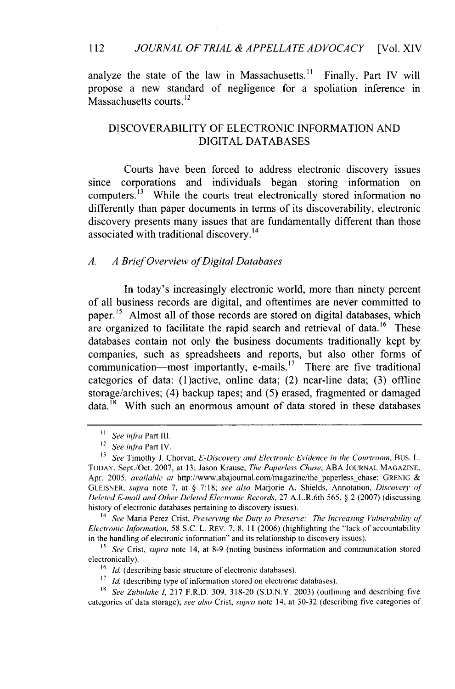#### 112 *JOURNAL OF TRIAL & APPELLATE ADVOCACY* [Vol. XIV

analyze the state of the law in Massachusetts.<sup>11</sup> Finally, Part IV will propose a new standard of negligence for a spoliation inference in  $Massachusetts$  courts.<sup>12</sup>

#### DISCOVERABILITY OF **ELECTRONIC** INFORMATION **AND DIGITAL DATABASES**

Courts have been forced to address electronic discovery issues since corporations and individuals began storing information on computers. $^{13}$  While the courts treat electronically stored information no differently than paper documents in terms of its discoverability, electronic discovery presents many issues that are fundamentally different than those associated with traditional discovery.<sup>14</sup>

#### *A. A Brief Overview of Digital Databases*

In today's increasingly electronic world, more than ninety percent of all business records are digital, and oftentimes are never committed to paper.<sup>15</sup> Almost all of those records are stored on digital databases, which are organized to facilitate the rapid search and retrieval of data.<sup>16</sup> These databases contain not only the business documents traditionally kept **by** companies, such as spreadsheets and reports, but also other forms of communication—most importantly, e-mails.<sup>17</sup> There are five traditional categories of data: (1)active, online data; (2) near-line data; **(3)** offline storage/archives; (4) backup tapes; and **(5)** erased, fragmented or damaged  $data<sup>18</sup>$  With such an enormous amount of data stored in these databases

**14** See Maria Perez Crist, Preserving the Duty to Preserve: The Increasing Vulnerabilitv of Electronic Information, **58 S.C.** L. REV. **7, 8, 11 (2006)** (highlighting the "lack of accountability in the handling of electronic information" and its relationship to discovery issues).

<sup>&</sup>lt;sup>11</sup> See infra Part III.

*<sup>12</sup>* See infra Part IV.

*<sup>13</sup>* See Timothy **J.** Chorvat, E-Discover, and Electronic Evidence in the Courtroom, **BUS.** L. TODAY, Sept./Oct. **2007,** at **13;** Jason Krause, The Paperless Chase, **ABA JOURNAL MAGAZINE,** Apr. 2005, *available at http://www.abajournal.com/magazine/the paperless chase; GRENIG &* **GLEISNER,** supra note **7,** at **§ 7:18;** *see* also Marjorie **A.** Shields, Annotation, Discovery of Deleted E-mail and Other Deleted Electronic Records, **27** A.L.R.6th **565, §** 2 **(2007)** (discussing history of electronic databases pertaining to discovery issues).

*<sup>15</sup>* See Crist, supra note 14, at **8-9** (noting business information and communication stored electronically).

*<sup>16</sup>* **Id.** (describing basic structure of electronic databases).

<sup>&</sup>lt;sup>17</sup> *Id.* (describing type of information stored on electronic databases).

*<sup>18</sup>* See Zubulake *1,* **217** F.R.D. **309, 318-20 (S.D.N.Y. 2003)** (outlining and describing five categories of data storage); see also Crist, supra note *14,* at **30-32** (describing five categories of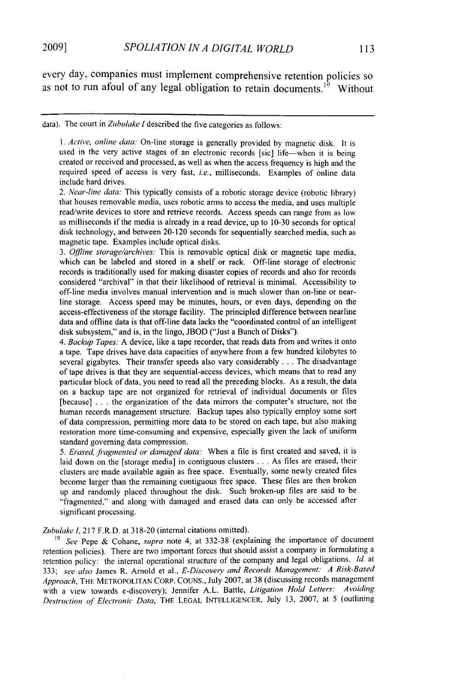every day, companies must implement comprehensive retention policies so as not to run afoul of any legal obligation to retain documents.<sup>19</sup> Without

data). The court in *Zubulake I* described the five categories as follows:

*1. Active, online data:* On-line storage is generally provided by magnetic disk. It is used in the very active stages of an electronic records [sic] life-when it is being created or received and processed, as well as when the access frequency is high and the required speed of access is very fast, *i.e.,* milliseconds. Examples of online data include hard drives.

*2. Near-line data:* This typically consists of a robotic storage device (robotic library) that houses removable media, uses robotic arms to access the media, and uses multiple read/write devices to store and retrieve records. Access speeds can range from as low as milliseconds if the media is already in a read device, up to 10-30 seconds for optical disk technology, and between 20-120 seconds for sequentially searched media, such as magnetic tape. Examples include optical disks.

*3. Of/1line storage/archives:* This is removable optical disk or magnetic tape media, which can be labeled and stored in a shelf or rack. Off-line storage of electronic records is traditionally used for making disaster copies of records and also for records considered "archival" in that their likelihood of retrieval is minimal. Accessibility to off-line media involves manual intervention and is much slower than on-line or nearline storage. Access speed may be minutes, hours, or even days, depending on the access-effectiveness of the storage facility. The principled difference between nearline data and offline data is that off-line data lacks the "coordinated control of an intelligent disk subsystem," and is, in the lingo, JBOD ("Just a Bunch of Disks").

*4. Backup Tapes:* A device, like a tape recorder, that reads data from and writes it onto a tape. Tape drives have data capacities of anywhere from a few hundred kilobytes to several gigabytes. Their transfer speeds also vary considerably ... The disadvantage of tape drives is that they are sequential-access devices, which means that to read any particular block of data, you need to read all the preceding blocks. As a result, the data on a backup tape are not organized for retrieval of individual documents or files [because] . . .the organization of the data mirrors the computer's structure, not the human records management structure. Backup tapes also typically employ some sort of data compression, permitting more data to be stored on each tape, but also making restoration more time-consuming and expensive, especially given the lack of uniform standard governing data compression.

*5. Erased, fragmented or damaged data:* When a file is first created and saved, it is laid down on the [storage media] in contiguous clusters ... As files are erased, their clusters are made available again as free space. Eventually, some newly created files become larger than the remaining contiguous free space. These files are then broken up and randomly placed throughout the disk. Such broken-up files are said to be "fragmented," and along with damaged and erased data can only be accessed after significant processing.

#### *Zubulake 1,* 217 F.R.D. at 318-20 (internal citations omitted).

**<sup>19</sup>***See* Pepe & Cohane, *supra* note 4, at 332-38 (explaining the importance of document retention policies). There are two important forces that should assist a company in formulating a retention policy: the internal operational structure of the company and legal obligations. *Id.* at 333; see also James R. Arnold et al., *E-Discovery and Records Management: A Risk-Based Approach,* THE METROPOLITAN CORP. COUNS., July 2007, at 38 (discussing records management with a view towards e-discovery); Jennifer A.L. Battle, *Litigation Hold Letters: Avoiding Destruction ol Electronic Data,* THE **LEGAL INTELLIGENCER,** July 13, 2007, at 5 (outlining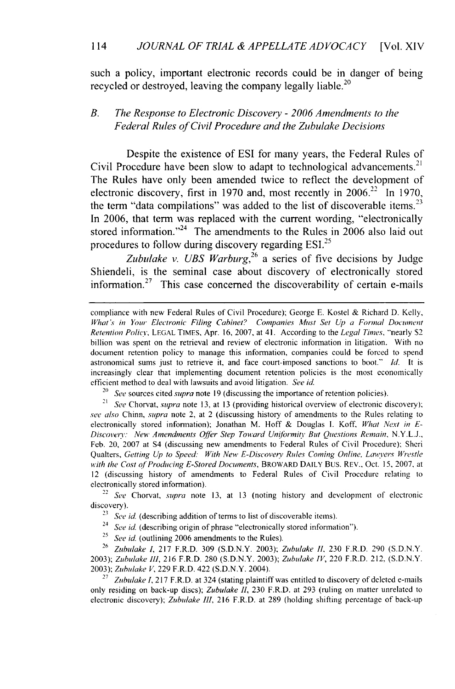such a policy, important electronic records could be in danger of being recycled or destroyed, leaving the company legally liable.<sup>20</sup>

#### *B. The Response to Electronic Discovery* - *2006 Amendments to the Federal Rules of Civil Procedure and the Zubulake Decisions*

Despite the existence of **ESI** for many years, the Federal Rules of Civil Procedure have been slow to adapt to technological advancements.<sup>21</sup> The Rules have only been amended twice to reflect the development of electronic discovery, first in 1970 and, most recently in  $2006^{22}$  In 1970. the term "data compilations" was added to the list of discoverable items.<sup>23</sup> In **2006,** that term was replaced with the current wording, "electronically stored information.<sup> $24$ </sup> The amendments to the Rules in  $2006$  also laid out procedures to follow during discovery regarding **ESI. <sup>5</sup>**

*Zubulake v. UBS Warburg,<sup>26</sup>*a series of five decisions by Judge Shiendeli, is the seminal case about discovery of electronically stored information.<sup>27</sup> This case concerned the discoverability of certain e-mails

2) *See* sources cited *supra* note 19 (discussing the importance of retention policies).

<sup>21</sup> *See* Chorvat, *supra* note 13, at 13 (providing historical overview of electronic discovery); *see also* Chinn, *supra* note 2, at 2 (discussing history of amendments to the Rules relating to electronically stored information); Jonathan M. Hoff & Douglas I. Koff, *What Next in E-Discoiver: New Amendments Offer Step Toward Uniformit' But Questions Remain,* N.Y.L.J., Feb. 20, 2007 at S4 (discussing new amendments to Federal Rules of Civil Procedure); Sheri Qualters, Getting Up to Speed: With New E-Discovery Rules Coming Online, Lawyers Wrestle *with the Cost of Producing E-Stored Docunents,* BROWARD DAILY Bus. REV., Oct. **15,** 2007, at 12 (discussing history of amendments to Federal Rules of Civil Procedure relating to electronically stored information).

22 *See* Chorvat, *supra* note 13, at 13 (noting history and development of electronic discovery).

**23** See *id.* (describing addition of terms to list of discoverable items).

<sup>24</sup> *See id.* (describing origin of phrase "electronically stored information").

**<sup>25</sup>***See* id. (outlining 2006 amendments to the Rules).

26 *Zubulake 1,* 217 F.R.D. 309 (S.D.N.Y. 2003); *Zubulake II,* 230 F.R.D. 290 (S.D.N.Y. 2003); *Zubulake* 111, 216 F.R.D. 280 (S.D.N.Y. 2003); *Zubulake IV,* 220 F.R.D. 212, (S.D.N.Y. 2003); *Zubulake* V, 229 F.R.D. 422 (S.D.N.Y. 2004).

**<sup>27</sup>***Zubulake 1,* 217 F.R.D. at 324 (stating plaintiff was entitled to discovery of deleted e-mails only residing on back-up discs); *Zubulake II,* 230 F.R.D. at 293 (ruling on matter unrelated to electronic discovery); *Zubulake III,* 216 F.R.D. at 289 (holding shifting percentage of back-up

compliance with new Federal Rules of Civil Procedure); George E. Kostel & Richard D. Kelly, *What's* in *Your Electronic Filing Cabinet? Companies Must Set Up a Formal Document Retention Polic',* LEGAL TIMES, Apr. 16, 2007, at 41. According to the *Legal Times,* "nearly S2 billion was spent on the retrieval and review of electronic information in litigation. With no document retention policy to manage this information, companies could be forced to spend astronomical sums just to retrieve it, and face court-imposed sanctions to boot." *Id.* It is increasingly clear that implementing document retention policies is the most economically efficient method to deal with lawsuits and avoid litigation. *See id.*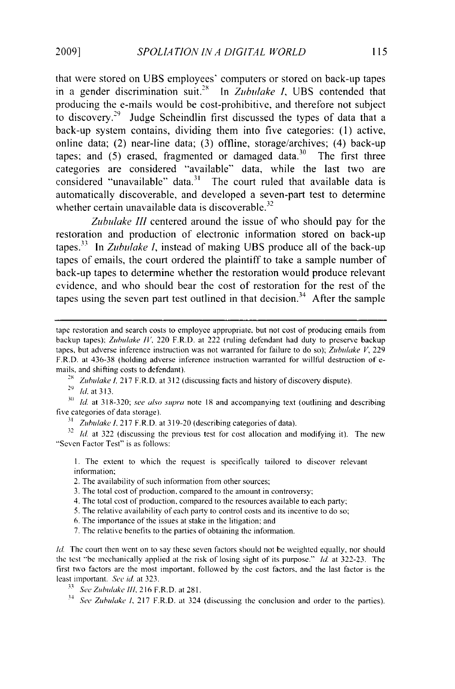that were stored on UBS employees' computers or stored on back-up tapes in a gender discrimination suit.<sup>28</sup> In *Zubulake I*, UBS contended that producing the e-mails would be cost-prohibitive, and therefore not subject to discovery.<sup>29</sup> Judge Scheindlin first discussed the types of data that a back-up system contains, dividing them into five categories: (1) active, online data; (2) near-line data; (3) offline, storage/archives; (4) back-up tapes; and  $(5)$  erased, fragmented or damaged data.<sup>30</sup> The first three categories are considered "available" data, while the last two are considered "unavailable" data.<sup>31</sup> The court ruled that available data is automatically discoverable, and developed a seven-part test to determine whether certain unavailable data is discoverable. $32$ 

*Zubulake III* centered around the issue of who should pay for the restoration and production of electronic information stored on back-up tapes.<sup>33</sup> In *Zubulake I*, instead of making UBS produce all of the back-up tapes of emails, the court ordered the plaintiff to take a sample number of back-up tapes to determine whether the restoration would produce relevant evidence, and who should bear the cost of restoration for the rest of the tapes using the seven part test outlined in that decision.<sup>34</sup> After the sample

**<sup>29</sup>***M.* at313.

*<sup>30</sup>Id.* at 318-320; see *also supra* note **18** and accompanying text (outlining and describing five categories of data storage).

**<sup>31</sup>***Zhulake 1,* 217 F.R.D. at 319-20 (describing categories of data).

 $32$  *Id.* at 322 (discussing the previous test for cost allocation and modifying it). The new "Seven Factor Test" is as follows:

**1.** The extent to which the request is specifically tailored to discover relevant information;

2. The availability of such information from other sources;

- 3. The total cost of production, compared to the amount in controversy;
- 4. The total cost of production, compared to the resources available to each party;
- *5.* The relative availability of each party to control costs and its incentive to do so;
- 6. The importance of the issues at stake in the litigation; and
- 7. The relative benefits to the parties of obtaining the information.

*hd.* The court then went on to say these seven factors should not be weighted equally, nor should the test "be mechanically applied at the risk of losing sight of its purpose." *Id.* at 322-23. The first two factors are the most important, followed by the cost factors, and the last factor is the least important. *See id.* at 323.

*<sup>33</sup>See Zubulake II.* 216 F.R.D. at 281.

tape restoration and search costs to employee appropriate, but not cost of producing emails from backup tapes): *Zuhulake It,* 220 F.R.D. at 222 (ruling defendant had duty to preserve backup tapes, but adverse inference instruction was not warranted for failure to do so); Zubulake *V,* 229 F.R.D. at 436-38 (holding adverse inference instruction warranted for willful destruction of emails, and shifting costs to defendant).

<sup>&</sup>lt;sup>28</sup> *Zubulake 1,* 217 F.R.D. at 312 (discussing facts and history of discovery dispute).

<sup>&</sup>lt;sup>34</sup> *See Zubulake 1,* 217 F.R.D. at 324 (discussing the conclusion and order to the parties).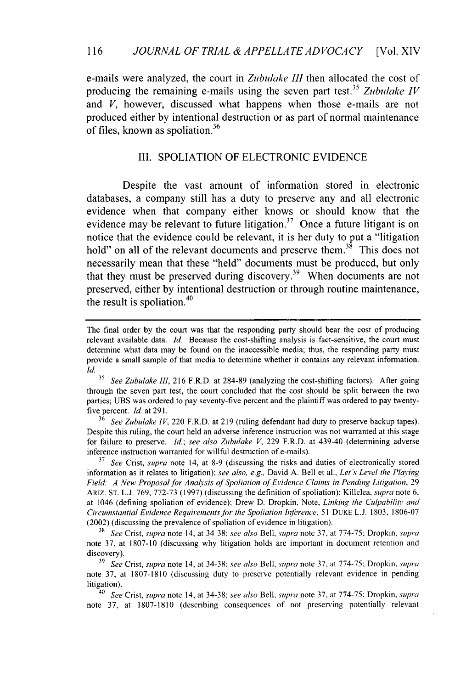e-mails were analyzed, the court in *Zubulake III* then allocated the cost of producing the remaining e-mails using the seven part test.<sup>35</sup> Zubulake IV and *V,* however, discussed what happens when those e-mails are not produced either by intentional destruction or as part of normal maintenance of files, known as spoliation.<sup>36</sup>

#### III. SPOLIATION OF ELECTRONIC EVIDENCE

Despite the vast amount of information stored in electronic databases, a company still has a duty to preserve any and all electronic evidence when that company either knows or should know that the evidence may be relevant to future litigation.<sup>37</sup> Once a future litigant is on notice that the evidence could be relevant, it is her duty to put a "litigation hold" on all of the relevant documents and preserve them.<sup>38</sup> This does not necessarily mean that these "held" documents must be produced, but only that they must be preserved during discovery.<sup>39</sup> When documents are not preserved, either **by** intentional destruction or through routine maintenance, the result is spoliation. $40$ 

**<sup>36</sup>***See Zubulake IV,* 220 F.R.D. at 219 (ruling defendant had duty to preserve backup tapes). Despite this ruling, the court held an adverse inference instruction was not warranted at this stage for failure to preserve. *Id.; see also Zubulake V,* 229 F.R.D. at 439-40 (determining adverse inference instruction warranted for willful destruction of e-mails).

**<sup>37</sup>***See* Crist, *supra* note 14, at 8-9 (discussing the risks and duties of electronically stored information as it relates to litigation); see also, e.g., David A. Bell et al., *Let's Level the Playing* Field: A New *Proposal for Analysis of Spoliation of Evidence Claims* in Pending *Litigation,* <sup>29</sup> ARIZ. ST. L.J. 769, 772-73 (1997) (discussing the definition of spoliation); Killelea, supra note 6, at 1046 (defining spoliation of evidence); Drew D. Dropkin, Note, *Linking the Culpabilit' and Circumstantial Evidence Requirements./or the Spoliation Inference,* 51 DUKE L.J. 1803, 1806-07 (2002) (discussing the prevalence of spoliation of evidence in litigation).

**38** *See* Crist, *supra* note 14, at 34-38; *see also* Bell, *supra* note **37,** at 774-75; Dropkin, *supra* note 37, at 1807-10 (discussing why litigation holds are important in document retention and discovery).

**39** *See* Crist, *supra* note 14, at 34-38; *see also* Bell, *supra* note 37, at 774-75; Dropkin, *supra* note **37,** at 1807-1810 (discussing duty to preserve potentially relevant evidence in pending litigation).

<sup>40</sup>*See* Crist, *supra* note 14, at 34-38; *see also* Bell, *supra* note 37, at 774-75: Dropkin, supra note 37, at 1807-1810 (describing consequences of not preserving potentially relevant

The final order by the court was that the responding party should bear the cost of producing relevant available data. *Id.* Because the cost-shifting analysis is fact-sensitive, the court must determine what data may be found on the inaccessible media; thus, the responding party must provide a small sample of that media to determine whether it contains any relevant information. *Id*

**<sup>35</sup>** *See Zubulake I1,* 216 F.R.D. at 284-89 (analyzing the cost-shifting factors). After going through the seven part test, the court concluded that the cost should be split between the two parties; UBS was ordered to pay seventy-five percent and the plaintiff was ordered to pay twentyfive percent. *Id.* at 291.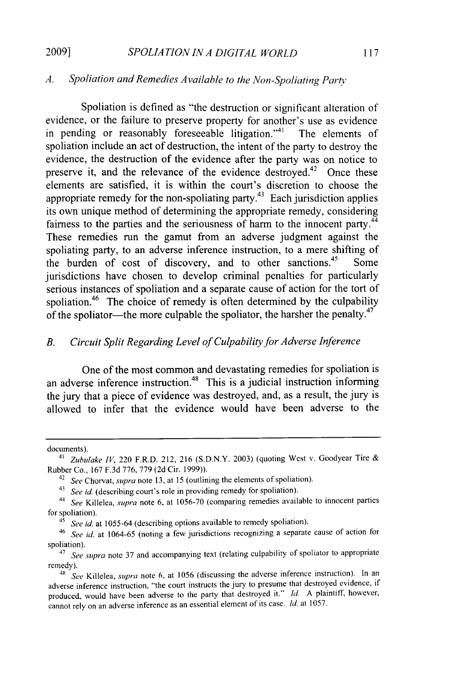**2009]**

### *A. Spoliation and Remedies Available to the Non-Spoliating Party*

Spoliation is defined as "the destruction or significant alteration of evidence, or the failure to preserve property for another's use as evidence<br>in pending or reasonably foreseeable litigation."<sup>41</sup> The elements of in pending or reasonably foreseeable litigation." $41$ spoliation include an act of destruction, the intent of the party to destroy the evidence, the destruction of the evidence after the party was on notice to preserve it, and the relevance of the evidence destroyed.<sup>42</sup> Once these elements are satisfied, it is within the court's discretion to choose the appropriate remedy for the non-spoliating party.<sup>43</sup> Each jurisdiction applies its own unique method of determining the appropriate remedy, considering fairness to the parties and the seriousness of harm to the innocent party.<sup>44</sup> These remedies run the gamut from an adverse judgment against the spoliating party, to an adverse inference instruction, to a mere shifting of the burden of cost of discovery, and to other sanctions.<sup>45</sup> Some the burden of cost of discovery, and to other sanctions.<sup>45</sup> jurisdictions have chosen to develop criminal penalties for particularly serious instances of spoliation and a separate cause of action for the tort of spoliation.<sup>46</sup> The choice of remedy is often determined by the culpability of the spoliator—the more culpable the spoliator, the harsher the penalty.<sup>47</sup>

#### *B. Circuit Split Regarding Level of Culpability for Adverse Inference*

One of the most common and devastating remedies for spoliation is an adverse inference instruction.<sup>48</sup> This is a judicial instruction informing the jury that a piece of evidence was destroyed, and, as a result, the jury is allowed to infer that the evidence would have been adverse to the

documents).

<sup>41</sup> *Zubulake IV,* 220 F.R.D. 212, **216** (S.D.N.Y. 2003) (quoting West v. Goodyear Tire & Rubber Co., 167 F.3d 776, 779 (2d Cir. 1999)).

<sup>42</sup> *See* Chorvat, *supra* note **13,** at **15** (outlining the elements of spoliation).

<sup>&</sup>lt;sup>43</sup> *See id.* (describing court's role in providing remedy for spoliation).

<sup>44</sup> *See* Killelea, *supra* note 6, at 1056-70 (comparing remedies available to innocent parties for spoliation).

<sup>45</sup> *See id.* at 1055-64 (describing options available to remedy spoliation).

<sup>46</sup> *See id.* at 1064-65 (noting a few jurisdictions recognizing a separate cause of action for spoliation).

<sup>47</sup> *See* supra note 37 and accompanying text (relating culpability of spoliator to appropriate remedy).

<sup>48</sup>*See* Killelea, *supra* note **6,** at 1056 (discussing the adverse inference instruction). In an adverse inference instruction, "the court instructs the jury to presume that destroyed evidence, if produced, would have been adverse to the party that destroyed it." *Id.* A plaintiff, however, cannot rely on an adverse inference as an essential element of its case. *Id.* at 1057.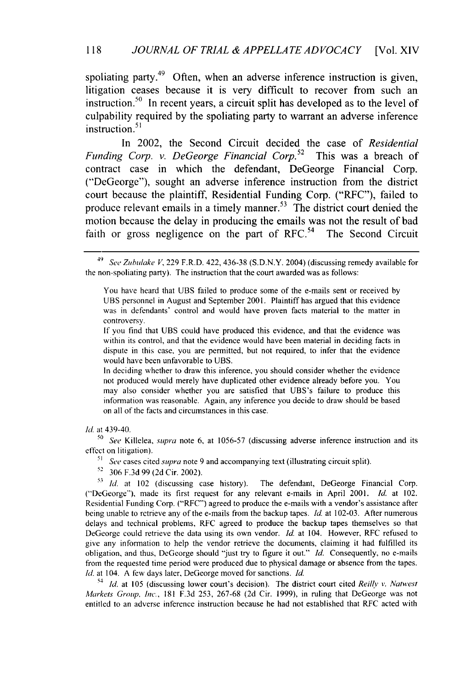spoliating party.<sup>49</sup> Often, when an adverse inference instruction is given, litigation ceases because it is very difficult to recover from such an instruction.<sup>50</sup> In recent years, a circuit split has developed as to the level of culpability required by the spoliating party to warrant an adverse inference  $in$ struction.<sup>51</sup>

In 2002, the Second Circuit decided the case of *Residential Funding Corp. v. DeGeorge Financial Corp.*<sup>52</sup> This was a breach of contract case in which the defendant, DeGeorge Financial Corp. ("DeGeorge"), sought an adverse inference instruction from the district court because the plaintiff, Residential Funding Corp. ("RFC"), failed to produce relevant emails in a timely manner.<sup>53</sup> The district court denied the motion because the delay in producing the emails was not the result of bad faith or gross negligence on the part of  $RFC.<sup>54</sup>$  The Second Circuit faith or gross negligence on the part of RFC.<sup>54</sup>

In deciding whether to draw this inference, you should consider whether the evidence not produced would merely have duplicated other evidence already before you. You may also consider whether you are satisfied that UBS's failure to produce this information was reasonable. Again, any inference you decide to draw should be based on all of the facts and circumstances in this case.

Id. at 439-40.

**5o** See Killelea, *supra* note 6, at 1056-57 (discussing adverse inference instruction and its effect on litigation).

- **51** *See* cases cited *supra* note 9 and accompanying text (illustrating circuit split).
- **52** 306 F.3d 99 (2d Cir. 2002).

**<sup>53</sup>***Id.* at 102 (discussing case history). The defendant, DeGeorge Financial Corp. ("DeGeorge"), made its first request for any relevant e-mails in April 2001. *Id.* at 102. Residential Funding Corp. ("RFC") agreed to produce the e-mails with a vendor's assistance after being unable to retrieve any of the e-mails from the backup tapes. Id. at 102-03. After numerous delays and technical problems, RFC agreed to produce the backup tapes themselves so that DeGeorge could retrieve the data using its own vendor. *Id.* at 104. However, RFC refused to give any information to help the vendor retrieve the documents, claiming it had fulfilled its obligation, and thus, DeGeorge should "just try to figure it out." *Id.* Consequently, no e-mails from the requested time period were produced due to physical damage or absence from the tapes. *Id.* at 104. A few days later, DeGeorge moved for sanctions. Id.

i4 *Id.* at 105 (discussing lower court's decision). The district court cited *Reilly v. Natwest Markets Group.* Inc., 181 F.3d 253, 267-68 (2d Cir. 1999), in ruling that DeGeorge was not entitled to an adverse inference instruction because he had not established that RFC acted with

<sup>49</sup>*See* Zubulake V, 229 F.R.D. 422, 436-38 (S.D.N.Y. 2004) (discussing remedy available for the non-spoliating party). The instruction that the court awarded was as follows:

You have heard that UBS failed to produce some of the e-mails sent or received by UBS personnel in August and September 2001. Plaintiff has argued that this evidence was in defendants' control and would have proven facts material to the matter in controversy.

If you find that UBS could have produced this evidence, and that the evidence was within its control, and that the evidence would have been material in deciding facts in dispute in this case, you are permitted, but not required, to infer that the evidence would have been unfavorable to UBS.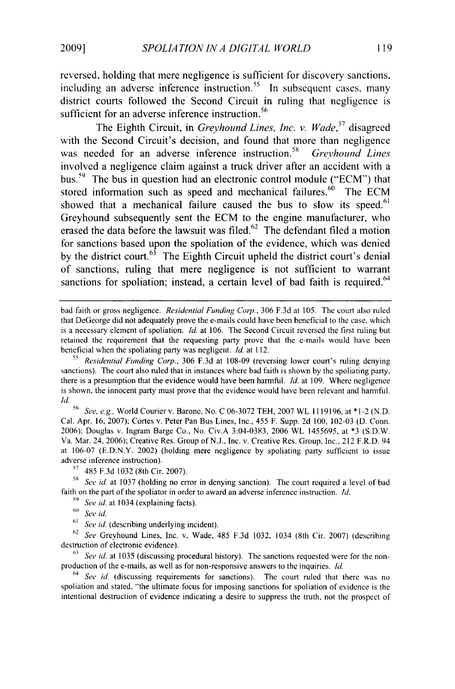reversed, holding that mere negligence is sufficient for discovery sanctions, including an adverse inference instruction.<sup>55</sup> In subsequent cases, many district courts followed the Second Circuit in ruling that negligence is sufficient for an adverse inference instruction.<sup>56</sup>

The Eighth Circuit, in *Greyhound Lines, Inc. v. Wade*,<sup>57</sup> disagreed with the Second Circuit's decision, and found that more than negligence was needed for an adverse inference instruction.<sup>58</sup> Greyhound Lines involved a negligence claim against a truck driver after an accident with a bus.<sup>59</sup> The bus in question had an electronic control module ("ECM") that stored information such as speed and mechanical failures. $60$  The ECM showed that a mechanical failure caused the bus to slow its speed.<sup>61</sup> Greyhound subsequently sent the ECM to the engine manufacturer, who erased the data before the lawsuit was filed.<sup>62</sup> The defendant filed a motion for sanctions based upon the spoliation of the evidence, which was denied by the district court.<sup>63</sup> The Eighth Circuit upheld the district court's denial of sanctions, ruling that mere negligence is not sufficient to warrant sanctions for spoliation; instead, a certain level of bad faith is required.<sup>64</sup>

bad faith or gross negligence. *Residential Funding Corp.,* 306 F.3d at 105. The court also ruled that DeGeorge did not adequately prove the e-mails could have been beneficial to the case, which is a necessary element of spoliation. *Id.* at 106. The Second Circuit reversed the first ruling but retained the requirement that the requesting party prove that the e-mails would have been beneficial when the spoliating party was negligent. *Id.* at 112.

*<sup>55</sup>Residential Funding Corp.,* 306 F.3d at 108-09 (reversing lower court's ruling denying sanctions). The court also ruled that in instances where bad faith is shown by the spoliating party, there is a presumption that the evidence would have been harmful. *Id.* at 109. Where negligence is shown, the innocent party must prove that the evidence would have been relevant and harmful. *Id*

*<sup>56</sup>See. e.g.,* World Courier v. Barone, No. C 06-3072 TEH, 2007 WL 1119196, at \*1-2 (N.D. Cal. Apr. 16, 2007); Cortes v. Peter Pan Bus Lines, Inc., 455 F. Supp. 2d 100, 102-03 (D. Conn. 2006); Douglas v. Ingram Barge Co., No. Civ.A 3:04-0383, 2006 WL 1455695, at \*3 (S.D.W. Va. Mar. 24, 2006); Creative Res. Group of N.J., Inc. v. Creative Res. Group, Inc., 212 F.R.D. 94 at 106-07 (E.D.N.Y. 2002) (holding mere negligence by spoliating party sufficient to issue adverse inference instruction).

**<sup>57</sup>**485 F.3d 1032 (8th Cir. 2007).

<sup>58</sup> *See id.* at 1037 (holding no error in denying sanction). The court required a level of bad faith on the part of the spoliator in order to award an adverse inference instruction. *Id.*

- *<sup>59</sup>See id.* at 1034 (explaining facts).
- *61 See id.*
- <sup>61</sup> *See id.* (describing underlying incident).

**62** *See* Greyhound Lines, Inc. v. Wade, 485 F.3d 1032, 1034 (8th Cir. 2007) (describing destruction of electronic evidence).

**63** *See id.* at 1035 (discussing procedural history). The sanctions requested were for the nonproduction of the e-mails, as well as for non-responsive answers to the inquiries. *Id.*

*64 See id.* (discussing requirements for sanctions). The court ruled that there was no spoliation and stated, "the ultimate focus for imposing sanctions for spoliation of evidence is the intentional destruction of evidence indicating a desire to suppress the truth, not the prospect of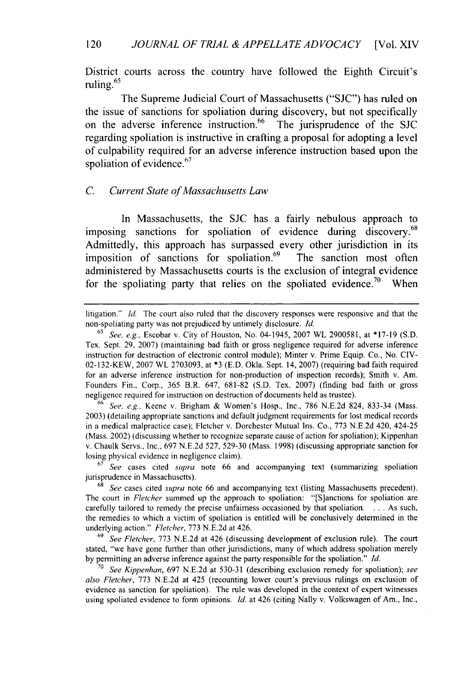District courts across the country have followed the Eighth Circuit's ruling.<sup>65</sup>

The Supreme Judicial Court of Massachusetts ("SJC") has ruled on the issue of sanctions for spoliation during discovery, but not specifically on the adverse inference instruction. $66$  The jurisprudence of the SJC regarding spoliation is instructive in crafting a proposal for adopting a level of culpability required for an adverse inference instruction based upon the spoliation of evidence. $67$ 

#### *C. Current State of Massachusetts Law*

In Massachusetts, the SJC has a fairly nebulous approach to imposing sanctions for spoliation of evidence during discovery.<sup>68</sup> Admittedly, this approach has surpassed every other jurisdiction in its imposition of sanctions for spoliation. $69$  The sanction most often administered by Massachusetts courts is the exclusion of integral evidence for the spoliating party that relies on the spoliated evidence.<sup>70</sup> When

<sup>66</sup>*See, e.g.,* Keene v. Brigham & Women's Hosp., Inc., 786 N.E.2d 824, 833-34 (Mass. 2003) (detailing appropriate sanctions and default judgment requirements for lost medical records in a medical malpractice case); Fletcher v. Dorchester Mutual Ins. Co., 773 N.E.2d 420, 424-25 (Mass. 2002) (discussing whether to recognize separate cause of action for spoliation); Kippenhan v. Chaulk Servs., Inc., 697 N.E.2d 527, 529-30 (Mass. 1998) (discussing appropriate sanction for losing physical evidence in negligence claim).

<sup>67</sup>*See* cases cited *supra* note 66 and accompanying text (summarizing spoliation jurisprudence in Massachusetts).

<sup>68</sup>*See* cases cited *supra* note 66 and accompanying text (listing Massachusetts precedent). The court in *Fletcher* summed up the approach to spoliation: "[S]anctions for spoliation are carefully tailored to remedy the precise unfairness occasioned by that spoliation. . **.** . As such, the remedies to which a victim of spoliation is entitled will be conclusively determined in the underlying action." *Fletcher,* 773 N.E.2d at 426.

<sup>69</sup>*See Fletcher,* 773 N.E.2d at 426 (discussing development of exclusion rule). The court stated, "we have gone further than other jurisdictions, many of which address spoliation merely by permitting an adverse inference against the party responsible for the spoliation." *Id.*

**<sup>70</sup>***See Kippenhan,* 697 N.E.2d at 530-31 (describing exclusion remedy for spoliation); *see also Fletcher,* 773 N.E.2d at 425 (recounting lower court's previous rulings on exclusion of evidence as sanction for spoliation). The rule was developed in the context of expert witnesses using spoliated evidence to form opinions. *Id.* at 426 (citing Nally v. Volkswagen of Am., Inc.,

litigation." *Id.* The court also ruled that the discovery responses were responsive and that the non-spoliating party was not prejudiced by untimely disclosure. Id.

<sup>65</sup>*See, e.g.,* Escobar v. City of Houston, No. 04-1945, 2007 WL 2900581, at \*17-19 (S.D. Tex. Sept. 29, 2007) (maintaining bad faith or gross negligence required for adverse inference instruction for destruction of electronic control module); Minter v. Prime Equip. Co., No. CIV-02-132-KEW, 2007 WL 2703093, at \*3 (E.D. Okla. Sept. 14, 2007) (requiring bad faith required for an adverse inference instruction for non-production of inspection records); Smith v. Am. Founders Fin., Corp., 365 B.R. 647, 681-82 (S.D. Tex. 2007) (finding bad faith or gross negligence required for instruction on destruction of documents held as trustee).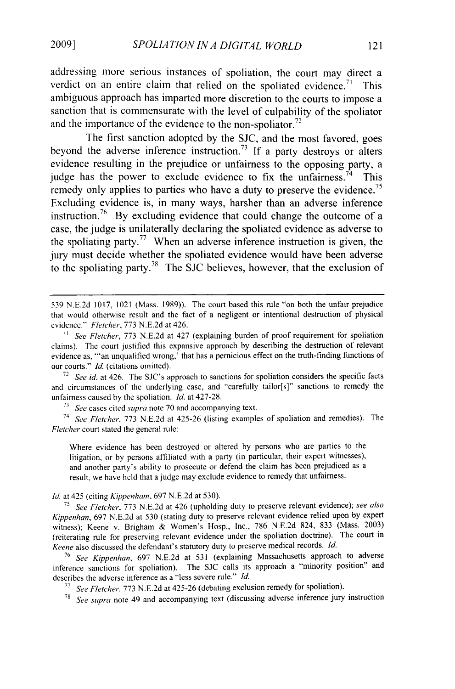addressing more serious instances of spoliation, the court may direct a verdict on an entire claim that relied on the spoliated evidence.<sup>71</sup> This ambiguous approach has imparted more discretion to the courts to impose a sanction that is commensurate with the level of culpability of the spoliator and the importance of the evidence to the non-spoliator.<sup>72</sup>

The first sanction adopted by the SJC, and the most favored, goes beyond the adverse inference instruction.<sup>73</sup> If a party destroys or alters evidence resulting in the prejudice or unfairness to the opposing party, a judge has the power to exclude evidence to fix the unfairness.<sup>74</sup> This remedy only applies to parties who have a duty to preserve the evidence.<sup>75</sup> Excluding evidence is, in many ways, harsher than an adverse inference instruction.<sup>76</sup> By excluding evidence that could change the outcome of a case, the judge is unilaterally declaring the spoliated evidence as adverse to the spoliating party.<sup>77</sup> When an adverse inference instruction is given, the jury must decide whether the spoliated evidence would have been adverse to the spoliating party.<sup>78</sup> The SJC believes, however, that the exclusion of

*T2* See id. at 426. The SJC's approach to sanctions for spoliation considers the specific facts and circumstances of the underlying case, and "carefully tailor[s]" sanctions to remedy the unfairness caused by the spoliation. *Id.* at 427-28.

**73** *See* cases cited supra note 70 and accompanying text.

74 *See Fletcher,* 773 N.E.2d at 425-26 (listing examples of spoliation and remedies). The Fletcher court stated the general rule:

Where evidence has been destroyed or altered by persons who are parties to the litigation, or by persons affiliated with a party (in particular, their expert witnesses), and another party's ability to prosecute or defend the claim has been prejudiced as a result, we have held that a judge may exclude evidence to remedy that unfairness.

#### *Id.* at 425 (citing *Kippenham,* 697 N.E.2d at 530).

**75** *See Fletcher,* 773 N.E.2d at 426 (upholding duty to preserve relevant evidence); *see also Kippenhan,* 697 N.E.2d at 530 (stating duty to preserve relevant evidence relied upon by expert witness); Keene v. Brigham & Women's Hosp., Inc., 786 N.E.2d 824, 833 (Mass. 2003) (reiterating rule for preserving relevant evidence under the spoliation doctrine). The court in *Keene* also discussed the defendant's statutory duty to preserve medical records. *Id.*

<sup>76</sup> See Kippenhan, 697 N.E.2d at 531 (explaining Massachusetts approach to adverse inference sanctions for spoliation). The **SJC** calls its approach a "minority position" and describes the adverse inference as a "less severe rule." *Id.*

**77** *See Fletcher,* 773 N.E.2d at 425-26 (debating exclusion remedy for spoliation).

**78** *See* supra note 49 and accompanying text (discussing adverse inference jury instruction

<sup>539</sup> N.E.2d 1017, 1021 (Mass. 1989)). The court based this rule "on both the unfair prejudice that would otherwise result and the fact of a negligent or intentional destruction of physical evidence." *Fletcher,* 773 N.E.2d at 426.

**<sup>71</sup>** *See Fletcher,* 773 N.E.2d at 427 (explaining burden of proof requirement for spoliation claims). The court justified this expansive approach by describing the destruction of relevant evidence as, "'an unqualified wrong,' that has a pernicious effect on the truth-finding functions of our courts." *Id.* (citations omitted).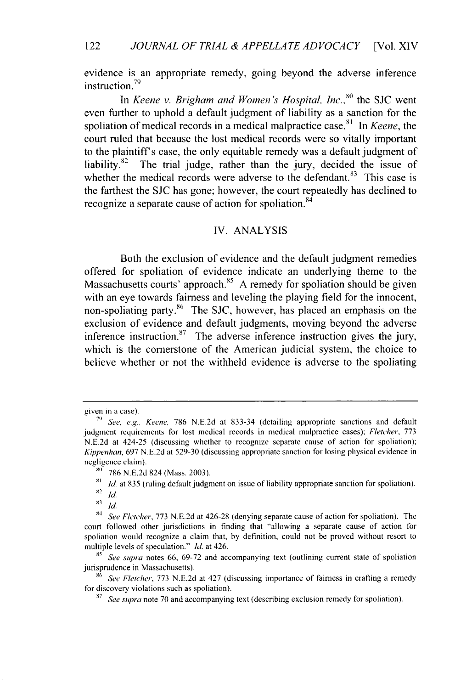evidence is an appropriate remedy, going beyond the adverse inference instruction **.**

In *Keene v. Brigham and Women's Hospital, Inc., °* the **SJC** went even further to uphold a default judgment of liability as a sanction for the spoliation of medical records in a medical malpractice case.<sup>81</sup> In *Keene*, the court ruled that because the lost medical records were so vitally important to the plaintiff s case, the only equitable remedy was a default judgment of liability.<sup>82</sup> The trial judge, rather than the jury, decided the issue of whether the medical records were adverse to the defendant. $83$  This case is the farthest the **SJC** has gone; however, the court repeatedly has declined to recognize a separate cause of action for spoliation **.**

#### IV. ANALYSIS

Both the exclusion of evidence and the default judgment remedies offered for spoliation of evidence indicate an underlying theme to the Massachusetts courts' approach.<sup>85</sup> A remedy for spoliation should be given with an eye towards fairness and leveling the playing field for the innocent, non-spoliating party.<sup>86</sup> The SJC, however, has placed an emphasis on the exclusion of evidence and default judgments, moving beyond the adverse inference instruction. $87$  The adverse inference instruction gives the jury, which is the cornerstone of the American judicial system, the choice to believe whether or not the withheld evidence is adverse to the spoliating

*Id.* at 835 (ruling default judgment on issue of liability appropriate sanction for spoliation).

given in a case).

*<sup>7)</sup> See, e.g., Keene,* 786 N.E.2d at 833-34 (detailing appropriate sanctions and default judgment requirements for lost medical records in medical malpractice cases); *Fletcher,* 773 N.E.2d at 424-25 (discussing whether to recognize separate cause of action for spoliation); Kippenhan, 697 N.E.2d at 529-30 (discussing appropriate sanction for losing physical evidence in negligence claim).

**<sup>80</sup>**786 N.E.2d 824 (Mass. 2003).

**<sup>82</sup>***Id.*

 $x^3$  *Id.* 

*<sup>94</sup> See Fletcher,* 773 N.E.2d at 426-28 (denying separate cause of action for spoliation). The court followed other jurisdictions in finding that "'allowing a separate cause of action for spoliation would recognize a claim that, by definition, could not be proved without resort to multiple levels of speculation." *Id.* at 426.

*<sup>85</sup>See supra* notes 66, 69-72 and accompanying text (outlining current state of spoliation jurisprudence in Massachusetts).

*<sup>96</sup>See Fletcher,* 773 N.E.2d at 427 (discussing importance of fairness in crafting a remedy for discovery violations such as spoliation).

**<sup>87</sup>** *See supra* note 70 and accompanying text (describing exclusion remedy for spoliation).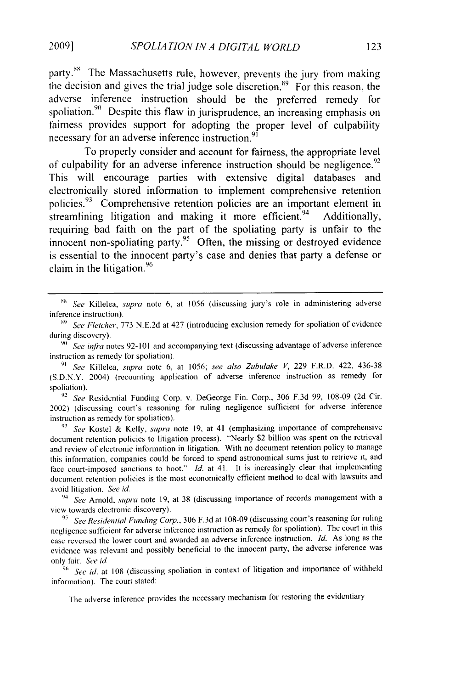party.<sup>88</sup> The Massachusetts rule, however, prevents the jury from making the decision and gives the trial judge sole discretion.<sup>89</sup> For this reason, the adverse inference instruction should be the preferred remedy for spoliation.<sup>90</sup> Despite this flaw in jurisprudence, an increasing emphasis on fairness provides support for adopting the proper level of culpability necessary for an adverse inference instruction.<sup>9</sup>

To properly consider and account for fairness, the appropriate level of culpability for an adverse inference instruction should be negligence.<sup>92</sup> This will encourage parties with extensive digital databases and electronically stored information to implement comprehensive retention policies.<sup>93</sup> Comprehensive retention policies are an important element in streamlining litigation and making it more efficient.<sup>94</sup> Additionally, streamlining litigation and making it more efficient.<sup>94</sup> requiring bad faith on the part of the spoliating party is unfair to the innocent non-spoliating party.<sup>95</sup> Often, the missing or destroyed evidence is essential to the innocent party's case and denies that party a defense or claim in the litigation. $96$ 

<sup>92</sup>*See* Residential Funding Corp. v. DeGeorge Fin. Corp., 306 F.3d 99, 108-09 (2d Cir. 2002) (discussing court's reasoning for ruling negligence sufficient for adverse inference instruction as remedy for spoliation).

*<sup>93</sup>See* Kostel & Kelly, *supra* note 19, at 41 (emphasizing importance of comprehensive document retention policies to litigation process). "Nearly \$2 billion was spent on the retrieval and review of electronic information in litigation. With no document retention policy to manage this information, companies could be forced to spend astronomical sums just to retrieve it, and face court-imposed sanctions to boot." *Id.* at 41. It is increasingly clear that implementing document retention policies is the most economically efficient method to deal with lawsuits and avoid litigation. *See id*

<sup>94</sup> See Arnold, *supra* note 19, at 38 (discussing importance of records management with a view towards electronic discovery).

<sup>95</sup> See Residential Funding Corp., 306 F.3d at 108-09 (discussing court's reasoning for ruling negligence sufficient for adverse inference instruction as remedy for spoliation). The court in this case reversed the lower court and awarded an adverse inference instruction. *Id.* As long as the evidence was relevant and possibly beneficial to the innocent party, the adverse inference was only fair. *See id*

<sup>96</sup> See id. at 108 (discussing spoliation in context of litigation and importance of withheld information). The court stated:

The adverse inference provides the necessary mechanism for restoring the evidentiary

*<sup>&</sup>quot; See* Killelea, *supra* note 6, at 1056 (discussing jury's role in administering adverse inference instruction).

*<sup>8</sup> See Fletcher,* 773 N.E.2d at 427 (introducing exclusion remedy for spoliation of evidence during discovery).

<sup>&</sup>lt;sup>90</sup> See infra notes 92-101 and accompanying text (discussing advantage of adverse inference instruction as remedy for spoliation).

*<sup>91</sup> See* Killelea, *supra* note 6, at 1056; *see also Zubulake V,* 229 F.R.D. 422, 436-38 (S.D.N.Y. 2004) (recounting application of adverse inference instruction as remedy for spoliation).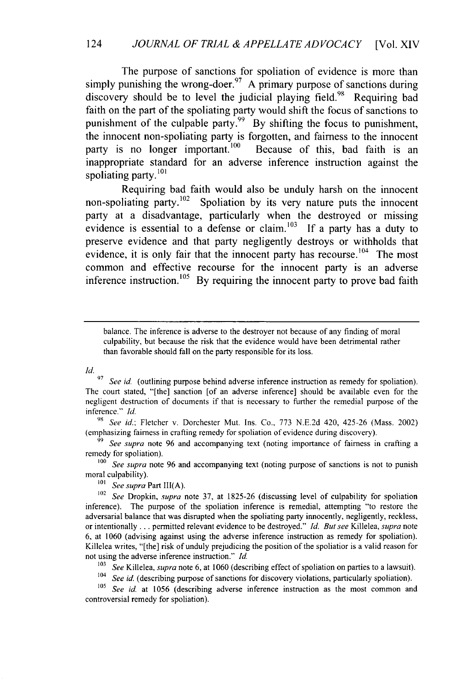The purpose of sanctions for spoliation of evidence is more than simply punishing the wrong-doer.  $\frac{97}{4}$  A primary purpose of sanctions during discovery should be to level the judicial playing field.<sup>98</sup> Requiring bad faith on the part of the spoliating party would shift the focus of sanctions to punishment of the culpable party.<sup>99</sup> By shifting the focus to punishment, the innocent non-spoliating party is forgotten, and fairness to the innocent party is no longer important.<sup>100</sup> Because of this, bad faith is an inappropriate standard for an adverse inference instruction against the spoliating party.<sup>101</sup>

Requiring bad faith would also be unduly harsh on the innocent non-spoliating party.<sup>102</sup> Spoliation by its very nature puts the innocent party at a disadvantage, particularly when the destroyed or missing evidence is essential to a defense or claim.<sup>103</sup> If a party has a duty to preserve evidence and that party negligently destroys or withholds that evidence, it is only fair that the innocent party has recourse.  $104$  The most common and effective recourse for the innocent party is an adverse inference instruction.<sup>105</sup> By requiring the innocent party to prove bad faith

*Id.*

*<sup>98</sup>See id.* Fletcher v. Dorchester Mut. Ins. Co., 773 N.E.2d 420, 425-26 (Mass. 2002) (emphasizing fairness in crafting remedy for spoliation of evidence during discovery).

**<sup>99</sup>***See supra* note 96 and accompanying text (noting importance of fairness in crafting a remedy for spoliation).

**<sup>100</sup>***See supra* note 96 and accompanying text (noting purpose of sanctions is not to punish moral culpability).

**101** *See supra* Part III(A).

<sup>102</sup>*See* Dropkin, *supra* note 37, at 1825-26 (discussing level of culpability for spoliation inference). The purpose of the spoliation inference is remedial, attempting "to restore the adversarial balance that was disrupted when the spoliating party innocently, negligently, reckless, or intentionally **...** permitted relevant evidence to be destroyed." *Id. But see* Killelea, *supra* note 6, at 1060 (advising against using the adverse inference instruction as remedy for spoliation). Killelea writes, "[the] risk of unduly prejudicing the position of the spoliatior is a valid reason for not using the adverse inference instruction." *Id.*

**103** *See* Killelea, *supra* note 6, at 1060 (describing effect of spoliation on parties to a lawsuit).

<sup>104</sup> See id. (describing purpose of sanctions for discovery violations, particularly spoliation).

**105** *See id.* at 1056 (describing adverse inference instruction as the most common and controversial remedy for spoliation).

balance. The inference is adverse to the destroyer not because of any finding of moral culpability, but because the risk that the evidence would have been detrimental rather than favorable should fall on the party responsible for its loss.

*See id.* (outlining purpose behind adverse inference instruction as remedy for spoliation). The court stated, "[the] sanction [of an adverse inference] should be available even for the negligent destruction of documents if that is necessary to further the remedial purpose of the inference." *Id.*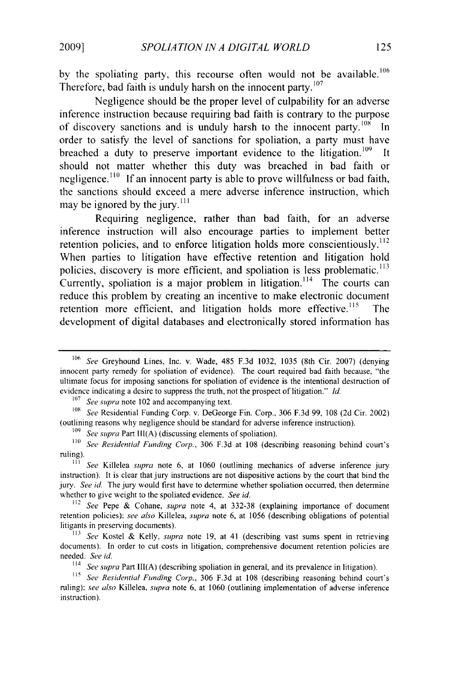by the spoliating party, this recourse often would not be available.<sup>106</sup> Therefore, bad faith is unduly harsh on the innocent party.  $107$ 

Negligence should be the proper level of culpability for an adverse inference instruction because requiring bad faith is contrary to the purpose of discovery sanctions and is unduly harsh to the innocent party.<sup>108</sup> In order to satisfy the level of sanctions for spoliation, a party must have breached a duty to preserve important evidence to the litigation.<sup>109</sup> It should not matter whether this duty was breached in bad faith or negligence.<sup>110</sup> If an innocent party is able to prove willfulness or bad faith, the sanctions should exceed a mere adverse inference instruction, which may be ignored by the jury.<sup>111</sup>

Requiring negligence, rather than bad faith, for an adverse inference instruction will also encourage parties to implement better retention policies, and to enforce litigation holds more conscientiously.<sup> $112$ </sup> When parties to litigation have effective retention and litigation hold policies, discovery is more efficient, and spoliation is less problematic.<sup>113</sup> Currently, spoliation is a major problem in litigation.<sup>114</sup> The courts can reduce this problem by creating an incentive to make electronic document retention more efficient, and litigation holds more effective.<sup>115</sup> The development of digital databases and electronically stored information has

**109** *See supra* Part **III(A)** (discussing elements of spoliation).

**<sup>106</sup>***See* Greyhound Lines, Inc. v. Wade, 485 F.3d 1032, 1035 (8th Cir. 2007) (denying innocent party remedy for spoliation of evidence). The court required bad faith because, "the ultimate focus for imposing sanctions for spoliation of evidence is the intentional destruction of evidence indicating a desire to suppress the truth, not the prospect of litigation." *Id.*

<sup>&</sup>lt;sup>107</sup> See supra note 102 and accompanying text.

*<sup>108</sup> See* Residential Funding Corp. v. DeGeorge Fin. Corp., 306 F.3d 99, 108 (2d Cir. 2002) (outlining reasons why negligence should be standard for adverse inference instruction).

**<sup>110</sup>** *See Residential Funding Corp.,* 306 F.3d at 108 (describing reasoning behind court's ruling).

**III** *See* Killelea *supra* note 6, at 1060 (outlining mechanics of adverse inference jury instruction). It is clear that jury instructions are not dispositive actions by the court that bind the jury. *See id.* The jury would first have to determine whether spoliation occurred, then determine whether to give weight to the spoliated evidence. *See id.*

<sup>112</sup>*See* Pepe & Cohane, *supra* note 4, at 332-38 (explaining importance of document retention policies): *see also* Killelea, *supra* note 6, at 1056 (describing obligations of potential litigants in preserving documents).

**<sup>113</sup>***See* Kostel & Kelly, *supra* note 19, at 41 (describing vast sums spent in retrieving documents). In order to cut costs in litigation, comprehensive document retention policies are needed. *See id.*

<sup>114</sup> *See supra* Part **III(A)** (describing spoliation in general, and its prevalence in litigation).

*<sup>115</sup>See Residential Funding Corp.,* 306 F.3d at 108 (describing reasoning behind court's ruling): *see also* Killelea, *supra* note 6, at 1060 (outlining implementation of adverse inference instruction).